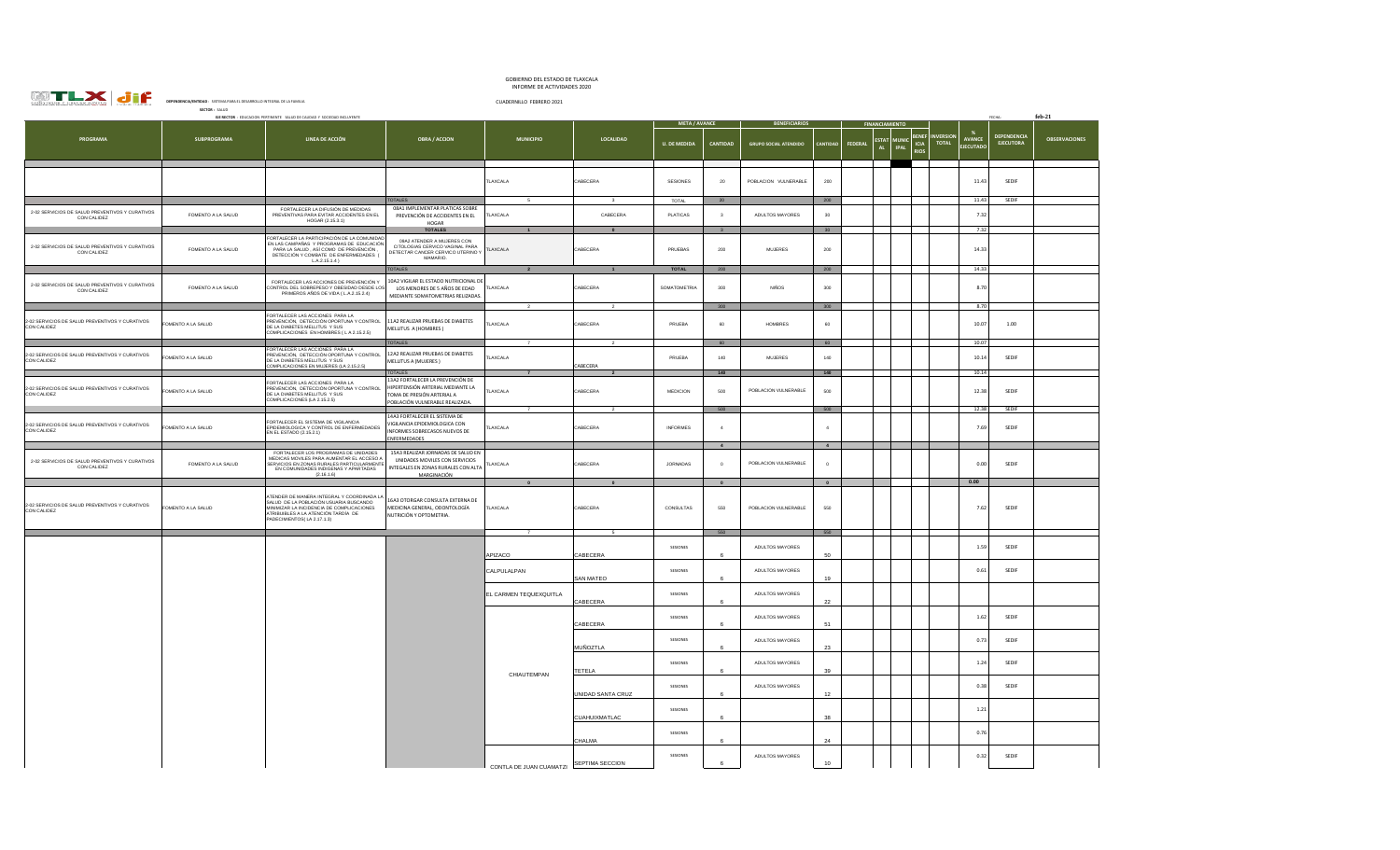

## GOBIERNO DEL ESTADO DE TLAXCALA INFORME DE ACTIVIDADES 2020

|                                                                | SECTOR: SALUD      |                                                                                                                                                                                                       |                                                                                                                                        |                            |                            |                          |                                             |                              |                           |                |                                         |                                     |                                 |                                   |                                 |                      |  |
|----------------------------------------------------------------|--------------------|-------------------------------------------------------------------------------------------------------------------------------------------------------------------------------------------------------|----------------------------------------------------------------------------------------------------------------------------------------|----------------------------|----------------------------|--------------------------|---------------------------------------------|------------------------------|---------------------------|----------------|-----------------------------------------|-------------------------------------|---------------------------------|-----------------------------------|---------------------------------|----------------------|--|
|                                                                |                    | EJE RECTOR : EDUCACION PERTINENTE SALUD DE CALIDAD Y SOCIEDAD INCLUYENTE                                                                                                                              |                                                                                                                                        |                            |                            | <b>META / AVANCE</b>     |                                             | <b>BENEFICIARIOS</b>         |                           |                | <b>FINANCIAMIENTO</b>                   |                                     |                                 |                                   | FECHA:                          | $feb-21$             |  |
| PROGRAMA                                                       | <b>SUBPROGRAMA</b> | LINEA DE ACCIÓN                                                                                                                                                                                       | <b>OBRA / ACCION</b>                                                                                                                   | <b>MUNICIPIO</b>           | LOCALIDAD                  | <b>U. DE MEDIDA</b>      | CANTIDAD                                    | <b>GRUPO SOCIAL ATENDIDO</b> | <b>CANTIDAD</b>           | <b>FEDERAL</b> | <b>ESTA</b><br><b>IPAL</b><br><b>AL</b> | <b>BENER</b><br>ICIA<br><b>RIOS</b> | <b>NVERSION</b><br><b>TOTAL</b> | <b>AVANCE</b><br><b>EJECUTADO</b> | DEPENDENCIA<br><b>EJECUTORA</b> | <b>OBSERVACIONES</b> |  |
|                                                                |                    |                                                                                                                                                                                                       |                                                                                                                                        | TLAXCALA                   | CABECERA                   | SESIONES                 | 20                                          | POBLACION VULNERABLE         | 200                       |                |                                         |                                     |                                 | 11.43                             | SEDIF                           |                      |  |
| 2-02 SERVICIOS DE SALUD PREVENTIVOS Y CURATIVOS<br>CON CALIDEZ | FOMENTO A LA SALUD | FORTALECER LA DIFUSIÓN DE MEDIDAS<br>PREVENTIVAS PARA EVITAR ACCIDENTES EN EL<br>HOGAR (2.15.3.1)                                                                                                     | OTALES<br>08A1 IMPLEMENTAR PLATICAS SOBRE<br>PREVENCIÓN DE ACCIDENTES EN EL<br>HOGAR<br><b>TOTALES</b>                                 | $\overline{5}$<br>TLAXCALA | $\mathbf{3}$<br>CABECERA   | TOTAL<br><b>PLATICAS</b> | $20\degree$<br>$\overline{\mathbf{3}}$<br>3 | ADULTOS MAYORES              | $200\,$<br>30<br>30       |                |                                         |                                     |                                 | 11.43<br>7.32<br>7.32             | SEDIF                           |                      |  |
| 2-02 SERVICIOS DE SALUD PREVENTIVOS Y CURATIVOS<br>CON CALIDEZ | FOMENTO A LA SALUD | FORTALECER LA PARTICIPACIÓN DE LA COMUNIDAD<br>EN LAS CAMPAÑAS Y PROGRAMAS DE EDUCACIÓN<br>PARA LA SALUD, ASÍ COMO DE PREVENCIÓN,<br>DETECCIÓN Y COMBATE DE ENFERMEDADES (<br>$LA.2.15.1.4$ )         | 09A2 ATENDER A MUJERES CON<br>CITOLOGIAS CERVICO VAGINAL PARA<br>DETECTAR CANCER CERVICO UTERINO Y<br>MAMARIO.                         | TLAXCALA                   | CABECERA                   | PRUEBAS                  | 200                                         | <b>MUJERES</b>               | $200\,$                   |                |                                         |                                     |                                 | 14.33                             |                                 |                      |  |
| 2-02 SERVICIOS DE SALUD PREVENTIVOS Y CURATIVOS<br>CON CALIDEZ | FOMENTO A LA SALUD | FORTALECER LAS ACCIONES DE PREVENCIÓN Y<br>CONTROL DEL SOBREPESO Y OBESIDAD DESDE LOS<br>PRIMEROS AÑOS DE VIDA (L.A.2.15.2.4)                                                                         | <b>OTALES</b><br>10A2 VIGILAR EL ESTADO NUTRICIONAL DE<br>LOS MENORES DE 5 AÑOS DE EDAD<br>MEDIANTE SOMATOMETRIAS RELIZADAS.           | TLAXCALA                   | CABECERA                   | TOTAL<br>SOMATOMETRIA    | 200<br>300                                  | <b>NIÑOS</b>                 | $200\,$<br>300            |                |                                         |                                     |                                 | 14.33<br>8.70                     |                                 |                      |  |
| 2-02 SERVICIOS DE SALUD PREVENTIVOS Y CURATIVOS<br>CON CALIDEZ | FOMENTO A LA SALUD | ORTALECER LAS ACCIONES PARA LA<br>PREVENCIÓN, DETECCIÓN OPORTUNA Y CONTROL<br>DE LA DIABETES MELLITUS Y SUS<br>COMPLICACIONES EN HOMBRES (L A 2.15.2.5)                                               | 11A2 REALIZAR PRUEBAS DE DIABETES<br>MELLITUS A (HOMBRES)                                                                              | $\overline{2}$<br>TLAXCALA | $\overline{2}$<br>CABECERA | PRUEBA                   | 300<br>60                                   | <b>HOMBRES</b>               | 300<br>60                 |                |                                         |                                     |                                 | 8.70<br>10.07                     | 1.00                            |                      |  |
| 2-02 SERVICIOS DE SALUD PREVENTIVOS Y CURATIVOS<br>CON CALIDEZ | OMENTO A LA SALUD  | FORTALECER LAS ACCIONES PARA LA<br>PREVENCIÓN, DETECCIÓN OPORTUNA Y CONTROL<br>DE LA DIABETES MELLITUS Y SUS<br>COMPLICACIONES EN MUJERES (LA 2.15.2.5)                                               | <b>OTALES</b><br>12A2 REALIZAR PRUEBAS DE DIABETES<br>MELLITUS A (MUJERES)<br>TOTALES                                                  | LAXCALA                    | ABECERA                    | PRUEBA                   | 60<br>140<br>140                            | <b>MUJERES</b>               | 60<br>140<br>140          |                |                                         |                                     |                                 | 10.07<br>10.14<br>10.14           | SEDIF                           |                      |  |
| 2-02 SERVICIOS DE SALUD PREVENTIVOS Y CURATIVOS<br>CON CALIDEZ | FOMENTO A LA SALUD | FORTALECER LAS ACCIONES PARA LA<br>PREVENCIÓN, DETECCIÓN OPORTUNA Y CONTROL<br>DE LA DIABETES MELLITUS Y SUS<br>COMPLICACIONES (LA 2.15.2.5)                                                          | 13A2 FORTALECER LA PREVENCIÓN DE<br>HIPERTENSIÓN ARTERIAL MEDIANTE LA<br>TOMA DE PRESIÓN ARTERIAL A<br>POBLACIÓN VULNERABLE REALIZADA. | TLAXCALA                   | CABECERA                   | MEDICION                 | 500<br>500                                  | POBLACION VULNERABLE         | 500<br>500                |                |                                         |                                     |                                 | 12.38<br>12.38                    | SEDIF<br>SEDIF                  |                      |  |
| 2-02 SERVICIOS DE SALUD PREVENTIVOS Y CURATIVOS<br>CON CALIDEZ | FOMENTO A LA SALUD | FORTALECER EL SISTEMA DE VIGILANCIA<br>PIDEMIOLOGICA Y CONTROL DE ENFERMEDADES<br>EN EL ESTADO (2.15.2.1)                                                                                             | 14A3 FORTALECER EL SISTEMA DE<br>VIGILANCIA EPIDEMIOLOGICA CON<br>INFORMES SOBRECASOS NUEVOS DE<br>ENFERMEDADES                        | TLAXCALA                   | CABECERA                   | <b>INFORMES</b>          | $\overline{4}$                              |                              | $\overline{a}$            |                |                                         |                                     |                                 | 7.69                              | SEDIF                           |                      |  |
| 2-02 SERVICIOS DE SALUD PREVENTIVOS Y CURATIVOS<br>CON CALIDEZ | FOMENTO A LA SALUD | FORTALECER LOS PROGRAMAS DE UNIDADES<br>MEDICAS MOVILES PARA AUMENTAR EL ACCESO A<br>SERVICIOS EN ZONAS RURALES PARTICULARMENTE<br>EN COMUNIDADES INDIGENAS Y APARTADAS<br>(2.16.1.6)                 | 15A3 REALIZAR JORNADAS DE SALUD EN<br>UNIDADES MOVILES CON SERVICIOS<br>INTEGALES EN ZONAS RURALES CON ALTA<br>MARGINACIÓN             | TLAXCALA                   | CABECERA                   | <b>JORNADAS</b>          | $\overline{4}$<br>$\circ$                   | POBLACION VULNERABLE         | $\overline{4}$<br>$\circ$ |                |                                         |                                     |                                 | 0.00                              | SEDIF                           |                      |  |
|                                                                |                    |                                                                                                                                                                                                       |                                                                                                                                        |                            |                            |                          | $\bullet$                                   |                              | $\bullet$                 |                |                                         |                                     |                                 | 0.00                              |                                 |                      |  |
| 2-02 SERVICIOS DE SALUD PREVENTIVOS Y CURATIVOS<br>CON CALIDEZ | FOMENTO A LA SALUD | TENDER DE MANERA INTEGRAL Y COORDINADA LA<br>SALUD DE LA POBLACIÓN USUARIA BUSCANDO<br>MINIMIZAR LA INCIDENCIA DE COMPLICACIONES<br>ATRIBUIBLES A LA ATENCIÓN TARDÍA DE<br>PADECIMIENTOS(LA 2.17.1.3) | 16A3 OTORGAR CONSULTA EXTERNA DE<br>MEDICINA GENERAL, ODONTOLOGÍA<br>NUTRICIÓN Y OPTOMETRIA.                                           | TLAXCALA                   | CABECERA                   | CONSULTAS                | 550                                         | POBLACION VULNERABLE         | 550                       |                |                                         |                                     |                                 | 7.62                              | SEDIF                           |                      |  |
|                                                                |                    |                                                                                                                                                                                                       |                                                                                                                                        |                            |                            |                          | 550                                         |                              | 550                       |                |                                         |                                     |                                 |                                   |                                 |                      |  |
|                                                                |                    |                                                                                                                                                                                                       |                                                                                                                                        | APIZACO                    | CABECERA                   | SESIONES                 |                                             | ADULTOS MAYORES              | 50                        |                |                                         |                                     |                                 | 1.59                              | SEDIF                           |                      |  |
|                                                                |                    |                                                                                                                                                                                                       |                                                                                                                                        | CALPULALPAN                | SAN MATEO                  | SESIONES                 |                                             | ADULTOS MAYORES              | 19                        |                |                                         |                                     |                                 | 0.61                              | SEDIF                           |                      |  |
|                                                                |                    |                                                                                                                                                                                                       |                                                                                                                                        | EL CARMEN TEQUEXQUITLA     | CABECERA                   | SESIONES                 |                                             | ADULTOS MAYORES              | 22                        |                |                                         |                                     |                                 |                                   |                                 |                      |  |
|                                                                |                    |                                                                                                                                                                                                       |                                                                                                                                        |                            | CABECERA                   | SESIONES                 | 6                                           | ADULTOS MAYORES              | 51                        |                |                                         |                                     |                                 | 1.62                              | SEDIF                           |                      |  |
|                                                                |                    |                                                                                                                                                                                                       |                                                                                                                                        |                            | <b>MUÑOZTLA</b>            | SESIONES                 |                                             | ADULTOS MAYORES              | 23                        |                |                                         |                                     |                                 | 0.73                              | SEDIF                           |                      |  |
|                                                                |                    |                                                                                                                                                                                                       |                                                                                                                                        | CHIAUTEMPAN                | TETELA                     | SESIONES                 | 6                                           | ADULTOS MAYORES              | 39                        |                |                                         |                                     |                                 | 1.24                              | SEDIF                           |                      |  |
|                                                                |                    |                                                                                                                                                                                                       |                                                                                                                                        |                            | UNIDAD SANTA CRUZ          | SESIONES                 |                                             | ADULTOS MAYORES              | 12                        |                |                                         |                                     |                                 | 0.38                              | SEDIF                           |                      |  |
|                                                                |                    |                                                                                                                                                                                                       |                                                                                                                                        |                            | CUAHUIXMATLAC              | SESIONES                 | 6                                           |                              | 38                        |                |                                         |                                     |                                 | 1.21                              |                                 |                      |  |
|                                                                |                    |                                                                                                                                                                                                       |                                                                                                                                        |                            | CHALMA                     | SESIONES                 |                                             |                              | 24                        |                |                                         |                                     |                                 | 0.76                              |                                 |                      |  |
|                                                                |                    |                                                                                                                                                                                                       | CONTI A DE JIJAN CUAMATZI SEPTIMA SECCION                                                                                              |                            | SESIONES                   |                          | ADULTOS MAYORES                             | $10$                         |                           |                |                                         |                                     | 0.32                            | SEDIF                             |                                 |                      |  |
|                                                                |                    |                                                                                                                                                                                                       |                                                                                                                                        |                            |                            |                          |                                             |                              |                           |                |                                         |                                     |                                 |                                   |                                 |                      |  |